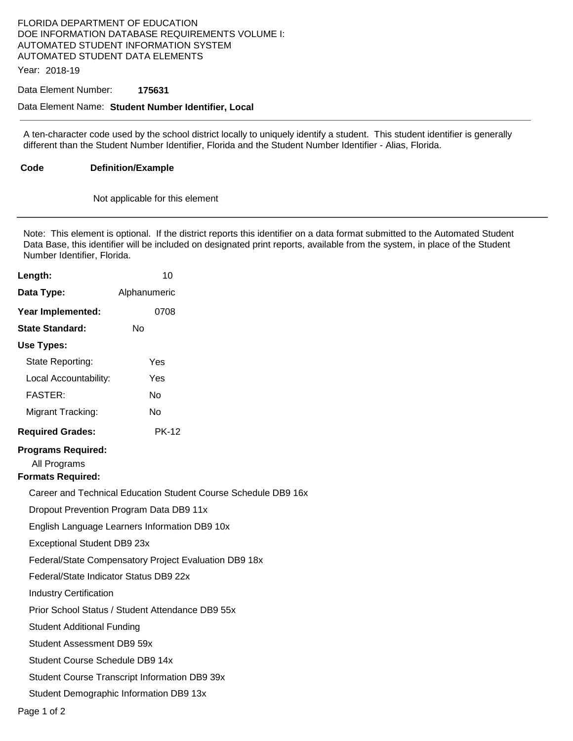## FLORIDA DEPARTMENT OF EDUCATION DOE INFORMATION DATABASE REQUIREMENTS VOLUME I: AUTOMATED STUDENT INFORMATION SYSTEM AUTOMATED STUDENT DATA ELEMENTS

Year: 2018-19

#### Data Element Number: **175631**

#### Data Element Name: **Student Number Identifier, Local**

A ten-character code used by the school district locally to uniquely identify a student. This student identifier is generally different than the Student Number Identifier, Florida and the Student Number Identifier - Alias, Florida.

**Code Definition/Example** 

Not applicable for this element

Note: This element is optional. If the district reports this identifier on a data format submitted to the Automated Student Data Base, this identifier will be included on designated print reports, available from the system, in place of the Student Number Identifier, Florida.

| Length:                                                               | 10                                                    |                                                                |
|-----------------------------------------------------------------------|-------------------------------------------------------|----------------------------------------------------------------|
| Data Type:                                                            | Alphanumeric                                          |                                                                |
| Year Implemented:                                                     | 0708                                                  |                                                                |
| <b>State Standard:</b>                                                | Nο                                                    |                                                                |
| Use Types:                                                            |                                                       |                                                                |
| State Reporting:                                                      | Yes                                                   |                                                                |
| Local Accountability:                                                 | Yes                                                   |                                                                |
| <b>FASTER:</b>                                                        | No                                                    |                                                                |
| Migrant Tracking:                                                     | No                                                    |                                                                |
| <b>Required Grades:</b>                                               | <b>PK-12</b>                                          |                                                                |
| <b>Programs Required:</b><br>All Programs<br><b>Formats Required:</b> |                                                       |                                                                |
|                                                                       |                                                       | Career and Technical Education Student Course Schedule DB9 16x |
|                                                                       | Dropout Prevention Program Data DB9 11x               |                                                                |
|                                                                       | English Language Learners Information DB9 10x         |                                                                |
| Exceptional Student DB9 23x                                           |                                                       |                                                                |
|                                                                       | Federal/State Compensatory Project Evaluation DB9 18x |                                                                |
| Federal/State Indicator Status DB9 22x                                |                                                       |                                                                |
| <b>Industry Certification</b>                                         |                                                       |                                                                |
|                                                                       | Prior School Status / Student Attendance DB9 55x      |                                                                |
| <b>Student Additional Funding</b>                                     |                                                       |                                                                |
| Student Assessment DB9 59x                                            |                                                       |                                                                |
| Student Course Schedule DB9 14x                                       |                                                       |                                                                |
|                                                                       | Student Course Transcript Information DB9 39x         |                                                                |
|                                                                       | Student Demographic Information DB9 13x               |                                                                |
|                                                                       |                                                       |                                                                |